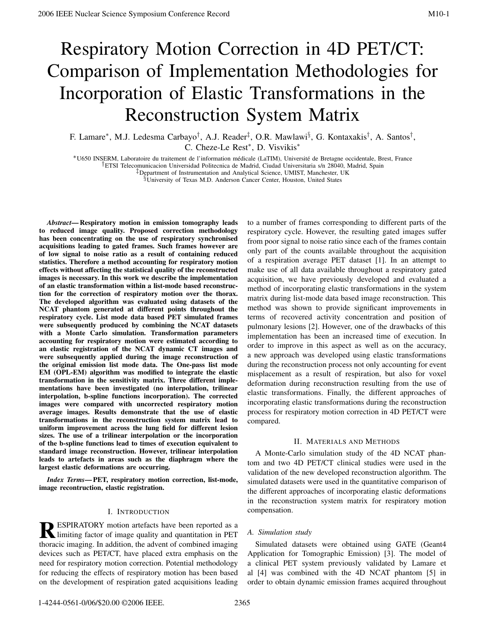# Respiratory Motion Correction in 4D PET/CT: Comparison of Implementation Methodologies for Incorporation of Elastic Transformations in the Reconstruction System Matrix

F. Lamare∗, M.J. Ledesma Carbayo†, A.J. Reader‡, O.R. Mawlawi§, G. Kontaxakis†, A. Santos†, C. Cheze-Le Rest<sup>\*</sup>, D. Visvikis<sup>\*</sup>

\*U650 INSERM, Laboratoire du traitement de l'information médicale (LaTIM), Université de Bretagne occidentale, Brest, France †ETSI Telecomunicacion Universidad Politecnica de Madrid, Ciudad Universitaria s/n 28040, Madrid, Spain

‡Department of Instrumentation and Analytical Science, UMIST, Manchester, UK

§University of Texas M.D. Anderson Cancer Center, Houston, United States

*Abstract*— Respiratory motion in emission tomography leads to reduced image quality. Proposed correction methodology has been concentrating on the use of respiratory synchronised acquisitions leading to gated frames. Such frames however are of low signal to noise ratio as a result of containing reduced statistics. Therefore a method accounting for respiratory motion effects without affecting the statistical quality of the reconstructed images is necessary. In this work we describe the implementation of an elastic transformation within a list-mode based reconstruction for the correction of respiratory motion over the thorax. The developed algorithm was evaluated using datasets of the NCAT phantom generated at different points throughout the respiratory cycle. List mode data based PET simulated frames were subsequently produced by combining the NCAT datasets with a Monte Carlo simulation. Transformation parameters accounting for respiratory motion were estimated according to an elastic registration of the NCAT dynamic CT images and were subsequently applied during the image reconstruction of the original emission list mode data. The One-pass list mode EM (OPL-EM) algorithm was modified to integrate the elastic transformation in the sensitivity matrix. Three different implementations have been investigated (no interpolation, trilinear interpolation, b-spline functions incorporation). The corrected images were compared with uncorrected respiratory motion average images. Results demonstrate that the use of elastic transformations in the reconstruction system matrix lead to uniform improvement across the lung field for different lesion sizes. The use of a trilinear interpolation or the incorporation of the b-spline functions lead to times of execution equivalent to standard image reconstruction. However, trilinear interpolation leads to artefacts in areas such as the diaphragm where the largest elastic deformations are occurring.

*Index Terms*— PET, respiratory motion correction, list-mode, image recontruction, elastic registration.

#### I. INTRODUCTION

**RESPIRATORY** motion artefacts have been reported as a limiting factor of image quality and quantitation in PET thoracic imaging. In addition, the advent of combined imaging devices such as PET/CT, have placed extra emphasis on the need for respiratory motion correction. Potential methodology for reducing the effects of respiratory motion has been based on the development of respiration gated acquisitions leading to a number of frames corresponding to different parts of the respiratory cycle. However, the resulting gated images suffer from poor signal to noise ratio since each of the frames contain only part of the counts available throughout the acquisition of a respiration average PET dataset [1]. In an attempt to make use of all data available throughout a respiratory gated acquisition, we have previously developed and evaluated a method of incorporating elastic transformations in the system matrix during list-mode data based image reconstruction. This method was shown to provide significant improvements in terms of recovered activity concentration and position of pulmonary lesions [2]. However, one of the drawbacks of this implementation has been an increased time of execution. In order to improve in this aspect as well as on the accuracy, a new approach was developed using elastic transformations during the reconstruction process not only accounting for event misplacement as a result of respiration, but also for voxel deformation during reconstruction resulting from the use of elastic transformations. Finally, the different approaches of incorporating elastic transformations during the reconstruction process for respiratory motion correction in 4D PET/CT were compared.

#### II. MATERIALS AND METHODS

A Monte-Carlo simulation study of the 4D NCAT phantom and two 4D PET/CT clinical studies were used in the validation of the new developed reconstruction algorithm. The simulated datasets were used in the quantitative comparison of the different approaches of incorporating elastic deformations in the reconstruction system matrix for respiratory motion compensation.

#### *A. Simulation study*

Simulated datasets were obtained using GATE (Geant4 Application for Tomographic Emission) [3]. The model of a clinical PET system previously validated by Lamare et al [4] was combined with the 4D NCAT phantom [5] in order to obtain dynamic emission frames acquired throughout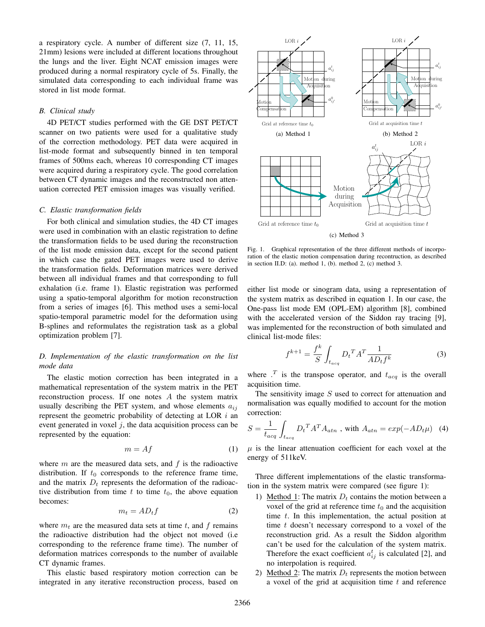a respiratory cycle. A number of different size (7, 11, 15, 21mm) lesions were included at different locations throughout the lungs and the liver. Eight NCAT emission images were produced during a normal respiratory cycle of 5s. Finally, the simulated data corresponding to each individual frame was stored in list mode format.

## *B. Clinical study*

4D PET/CT studies performed with the GE DST PET/CT scanner on two patients were used for a qualitative study of the correction methodology. PET data were acquired in list-mode format and subsequently binned in ten temporal frames of 500ms each, whereas 10 corresponding CT images were acquired during a respiratory cycle. The good correlation between CT dynamic images and the reconstructed non attenuation corrected PET emission images was visually verified.

## *C. Elastic transformation fields*

For both clinical and simulation studies, the 4D CT images were used in combination with an elastic registration to define the transformation fields to be used during the reconstruction of the list mode emission data, except for the second patient in which case the gated PET images were used to derive the transformation fields. Deformation matrices were derived between all individual frames and that corresponding to full exhalation (i.e. frame 1). Elastic registration was performed using a spatio-temporal algorithm for motion reconstruction from a series of images [6]. This method uses a semi-local spatio-temporal parametric model for the deformation using B-splines and reformulates the registration task as a global optimization problem [7].

## *D. Implementation of the elastic transformation on the list mode data*

The elastic motion correction has been integrated in a mathematical representation of the system matrix in the PET reconstruction process. If one notes A the system matrix usually describing the PET system, and whose elements  $a_{ij}$ represent the geometric probability of detecting at LOR i an event generated in voxel  $j$ , the data acquisition process can be represented by the equation:

$$
m = Af \tag{1}
$$

where  $m$  are the measured data sets, and  $f$  is the radioactive distribution. If  $t_0$  corresponds to the reference frame time, and the matrix  $D_t$  represents the deformation of the radioactive distribution from time  $t$  to time  $t_0$ , the above equation becomes:

$$
m_t = AD_t f \tag{2}
$$

where  $m_t$  are the measured data sets at time t, and f remains the radioactive distribution had the object not moved (i.e corresponding to the reference frame time). The number of deformation matrices corresponds to the number of available CT dynamic frames.

This elastic based respiratory motion correction can be integrated in any iterative reconstruction process, based on



Fig. 1. Graphical representation of the three different methods of incorporation of the elastic motion compensation during recontruction, as described in section II.D: (a). method 1, (b). method 2, (c) method 3.

either list mode or sinogram data, using a representation of the system matrix as described in equation 1. In our case, the One-pass list mode EM (OPL-EM) algorithm [8], combined with the accelerated version of the Siddon ray tracing [9], was implemented for the reconstruction of both simulated and clinical list-mode files:

$$
f^{k+1} = \frac{f^k}{S} \int_{t_{acq}} D_t^T A^T \frac{1}{A D_t f^k}
$$
 (3)

where  $\cdot^T$  is the transpose operator, and  $t_{acq}$  is the overall acquisition time.

The sensitivity image  $S$  used to correct for attenuation and normalisation was equally modified to account for the motion correction:

$$
S = \frac{1}{t_{acq}} \int_{t_{acq}} D_t^T A^T A_{atn} \text{ , with } A_{atn} = exp(-AD_t \mu) \quad (4)
$$

 $\mu$  is the linear attenuation coefficient for each voxel at the energy of 511keV.

Three different implementations of the elastic transformation in the system matrix were compared (see figure 1):

- 1) Method 1: The matrix  $D_t$  contains the motion between a voxel of the grid at reference time  $t_0$  and the acquisition time  $t$ . In this implementation, the actual position at time  $t$  doesn't necessary correspond to a voxel of the reconstruction grid. As a result the Siddon algorithm can't be used for the calculation of the system matrix. Therefore the exact coefficient  $a_{ij}^t$  is calculated [2], and no interpolation is required.
- 2) Method 2: The matrix  $D_t$  represents the motion between a voxel of the grid at acquisition time  $t$  and reference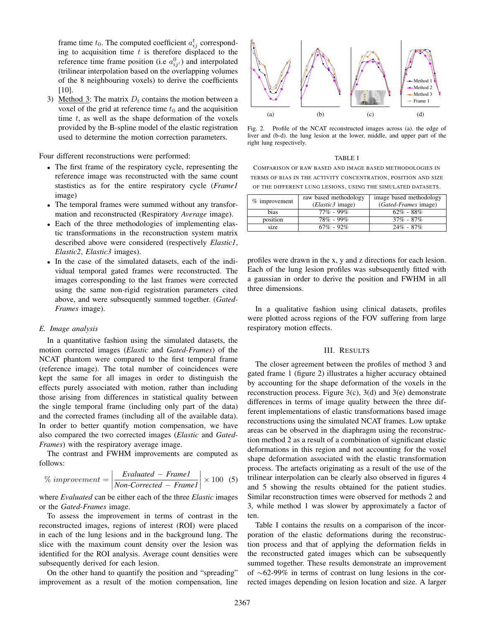frame time  $t_0$ . The computed coefficient  $a_{ij}^t$  corresponding to acquisition time  $t$  is therefore displaced to the reference time frame position (i.e  $a_{ij}^0$ ) and interpolated (trilinear interpolation based on the overlapping volumes of the 8 neighbouring voxels) to derive the coefficients [10].

3) Method 3: The matrix  $D_t$  contains the motion between a voxel of the grid at reference time  $t_0$  and the acquisition time  $t$ , as well as the shape deformation of the voxels provided by the B-spline model of the elastic registration used to determine the motion correction parameters.

Four different reconstructions were performed:

- The first frame of the respiratory cycle, representing the reference image was reconstructed with the same count stastistics as for the entire respiratory cycle (*Frame1* image)
- The temporal frames were summed without any transformation and reconstructed (Respiratory *Average* image).
- Each of the three methodologies of implementing elastic transformations in the reconstruction system matrix described above were considered (respectively *Elastic1*, *Elastic2*, *Elastic3* images).
- In the case of the simulated datasets, each of the individual temporal gated frames were reconstructed. The images corresponding to the last frames were corrected using the same non-rigid registration parameters cited above, and were subsequently summed together. (*Gated-Frames* image).

#### *E. Image analysis*

In a quantitative fashion using the simulated datasets, the motion corrected images (*Elastic* and *Gated-Frames*) of the NCAT phantom were compared to the first temporal frame (reference image). The total number of coincidences were kept the same for all images in order to distinguish the effects purely associated with motion, rather than including those arising from differences in statistical quality between the single temporal frame (including only part of the data) and the corrected frames (including all of the available data). In order to better quantify motion compensation, we have also compared the two corrected images (*Elastic* and *Gated-Frames*) with the respiratory average image.

The contrast and FWHM improvements are computed as follows:

$$
\% improvement = \left| \frac{Evaluated - FrameI}{Non-Corrected - FrameI} \right| \times 100 \quad (5)
$$

where *Evaluated* can be either each of the three *Elastic* images or the *Gated-Frames* image.

To assess the improvement in terms of contrast in the reconstructed images, regions of interest (ROI) were placed in each of the lung lesions and in the background lung. The slice with the maximum count density over the lesion was identified for the ROI analysis. Average count densities were subsequently derived for each lesion.

On the other hand to quantify the position and "spreading" improvement as a result of the motion compensation, line



Fig. 2. Profile of the NCAT reconstructed images across (a). the edge of liver and (b-d). the lung lesion at the lower, middle, and upper part of the right lung respectively.

#### TABLE I

COMPARISON OF RAW BASED AND IMAGE BASED METHODOLOGIES IN TERMS OF BIAS IN THE ACTIVITY CONCENTRATION, POSITION AND SIZE OF THE DIFFERENT LUNG LESIONS, USING THE SIMULATED DATASETS.

| % improvement | raw based methodology | image based methodology |
|---------------|-----------------------|-------------------------|
|               | (Elastic3 image)      | (Gated-Frames image)    |
| bias          | $77\%$ - 99%          | $62\% - 88\%$           |
| position      | $78\% - 99\%$         | $37\% - 87\%$           |
| size.         | $67\% - 92\%$         | $24\% - 87\%$           |

profiles were drawn in the x, y and z directions for each lesion. Each of the lung lesion profiles was subsequently fitted with a gaussian in order to derive the position and FWHM in all three dimensions.

In a qualitative fashion using clinical datasets, profiles were plotted across regions of the FOV suffering from large respiratory motion effects.

#### III. RESULTS

The closer agreement between the profiles of method 3 and gated frame 1 (figure 2) illustrates a higher accuracy obtained by accounting for the shape deformation of the voxels in the reconstruction process. Figure 3(c), 3(d) and 3(e) demonstrate differences in terms of image quality between the three different implementations of elastic transformations based image reconstructions using the simulated NCAT frames. Low uptake areas can be observed in the diaphragm using the reconstruction method 2 as a result of a combination of significant elastic deformations in this region and not accounting for the voxel shape deformation associated with the elastic transformation process. The artefacts originating as a result of the use of the trilinear interpolation can be clearly also observed in figures 4 and 5 showing the results obtained for the patient studies. Similar reconstruction times were observed for methods 2 and 3, while method 1 was slower by approximately a factor of ten.

Table I contains the results on a comparison of the incorporation of the elastic deformations during the reconstruction process and that of applying the deformation fields in the reconstructed gated images which can be subsequently summed together. These results demonstrate an improvement of ∼62-99% in terms of contrast on lung lesions in the corrected images depending on lesion location and size. A larger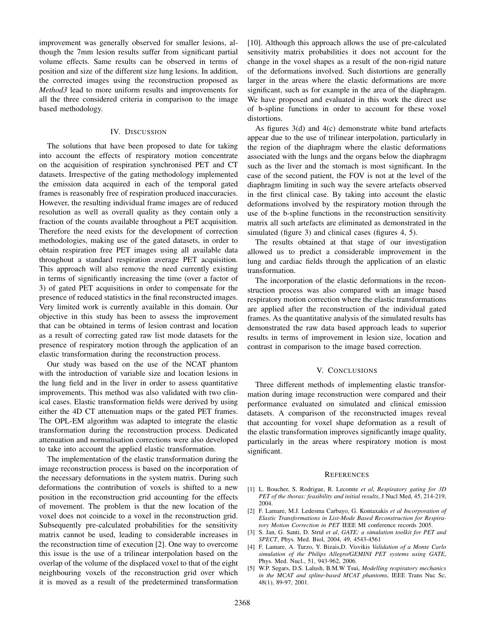improvement was generally observed for smaller lesions, although the 7mm lesion results suffer from significant partial volume effects. Same results can be observed in terms of position and size of the different size lung lesions. In addition, the corrected images using the reconstruction proposed as *Method3* lead to more uniform results and improvements for all the three considered criteria in comparison to the image based methodology.

## IV. DISCUSSION

The solutions that have been proposed to date for taking into account the effects of respiratory motion concentrate on the acquisition of respiration synchronised PET and CT datasets. Irrespective of the gating methodology implemented the emission data acquired in each of the temporal gated frames is reasonably free of respiration produced inaccuracies. However, the resulting individual frame images are of reduced resolution as well as overall quality as they contain only a fraction of the counts available throughout a PET acquisition. Therefore the need exists for the development of correction methodologies, making use of the gated datasets, in order to obtain respiration free PET images using all available data throughout a standard respiration average PET acquisition. This approach will also remove the need currently existing in terms of significantly increasing the time (over a factor of 3) of gated PET acquisitions in order to compensate for the presence of reduced statistics in the final reconstructed images. Very limited work is currently available in this domain. Our objective in this study has been to assess the improvement that can be obtained in terms of lesion contrast and location as a result of correcting gated raw list mode datasets for the presence of respiratory motion through the application of an elastic transformation during the reconstruction process.

Our study was based on the use of the NCAT phantom with the introduction of variable size and location lesions in the lung field and in the liver in order to assess quantitative improvements. This method was also validated with two clinical cases. Elastic transformation fields were derived by using either the 4D CT attenuation maps or the gated PET frames. The OPL-EM algorithm was adapted to integrate the elastic transformation during the reconstruction process. Dedicated attenuation and normalisation corrections were also developed to take into account the applied elastic transformation.

The implementation of the elastic transformation during the image reconstruction process is based on the incorporation of the necessary deformations in the system matrix. During such deformations the contribution of voxels is shifted to a new position in the reconstruction grid accounting for the effects of movement. The problem is that the new location of the voxel does not coincide to a voxel in the reconstruction grid. Subsequently pre-calculated probabilities for the sensitivity matrix cannot be used, leading to considerable increases in the reconstruction time of execution [2]. One way to overcome this issue is the use of a trilinear interpolation based on the overlap of the volume of the displaced voxel to that of the eight neighbouring voxels of the reconstruction grid over which it is moved as a result of the predetermined transformation

[10]. Although this approach allows the use of pre-calculated sensitivity matrix probabilities it does not account for the change in the voxel shapes as a result of the non-rigid nature of the deformations involved. Such distortions are generally larger in the areas where the elastic deformations are more significant, such as for example in the area of the diaphragm. We have proposed and evaluated in this work the direct use of b-spline functions in order to account for these voxel distortions.

As figures 3(d) and 4(c) demonstrate white band artefacts appear due to the use of trilinear interpolation, particularly in the region of the diaphragm where the elastic deformations associated with the lungs and the organs below the diaphragm such as the liver and the stomach is most significant. In the case of the second patient, the FOV is not at the level of the diaphragm limiting in such way the severe artefacts observed in the first clinical case. By taking into account the elastic deformations involved by the respiratory motion through the use of the b-spline functions in the reconstruction sensitivity matrix all such artefacts are eliminated as demonstrated in the simulated (figure 3) and clinical cases (figures 4, 5).

The results obtained at that stage of our investigation allowed us to predict a considerable improvement in the lung and cardiac fields through the application of an elastic transformation.

The incorporation of the elastic deformations in the reconstruction process was also compared with an image based respiratory motion correction where the elastic transformations are applied after the reconstruction of the individual gated frames. As the quantitative analysis of the simulated results has demonstrated the raw data based approach leads to superior results in terms of improvement in lesion size, location and contrast in comparison to the image based correction.

### V. CONCLUSIONS

Three different methods of implementing elastic transformation during image reconstruction were compared and their performance evaluated on simulated and clinical emission datasets. A comparison of the reconstructed images reveal that accounting for voxel shape deformation as a result of the elastic transformation improves significantly image quality, particularly in the areas where respiratory motion is most significant.

#### **REFERENCES**

- [1] L. Boucher, S. Rodrigue, R. Lecomte *et al*, *Respiratory gating for 3D PET of the thorax: feasibility and initial results*, J Nucl Med, 45, 214-219, 2004.
- [2] F. Lamare, M.J. Ledesma Carbayo, G. Kontaxakis *et al Incorporation of Elastic Transformations in List-Mode Based Reconstruction for Respiratory Motion Correction in PET* IEEE MI conference records 2005.
- [3] S. Jan, G. Santi, D. Strul *et al*, *GATE: a simulation toolkit for PET and SPECT*, Phys. Med. Biol, 2004, 49, 4543-4561
- [4] F. Lamare, A. Turzo, Y. Bizais,D. Visvikis *Validation of a Monte Carlo simulation of the Philips Allegro/GEMINI PET systems using GATE*, Phys. Med. Nucl., 51, 943-962, 2006.
- [5] W.P. Segars, D.S. Lalush, B.M.W Tsui, *Modelling respiratory mechanics in the MCAT and spline-based MCAT phantoms*, IEEE Trans Nuc Sc, 48(1), 89-97, 2001.